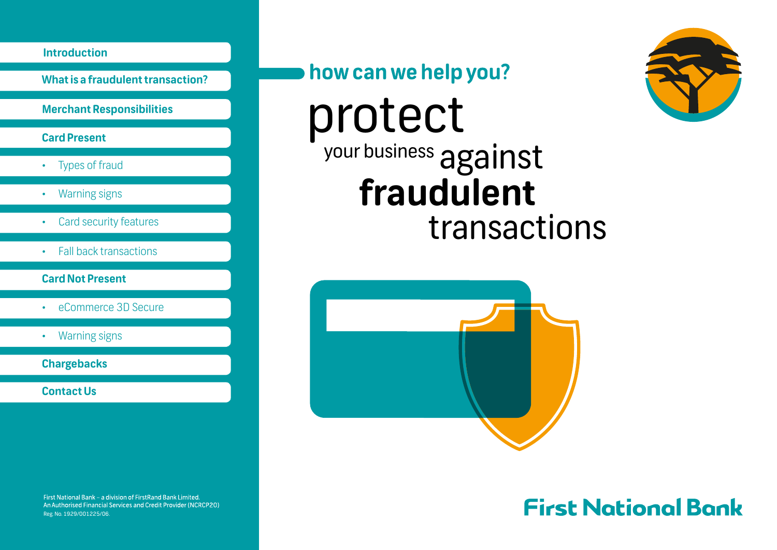**What is a fraudulent transaction?**

**Merchant Responsibilities**

#### **Card Present**

- Types of fraud
- Warning signs
- Card security features
- Fall back transactions

#### **Card Not Present**

- eCommerce 3D Secure
- Warning signs

**Chargebacks**

**Contact Us**

First National Bank - a division of FirstRand Bank Limited. An Authorised Financial Services and Credit Provider (NCRCP20) Reg. No. 1929/001225/06.

## how can we help you?

# protect <sup>your business</sup> against **fraudulent** transactions



# **First National Bank**

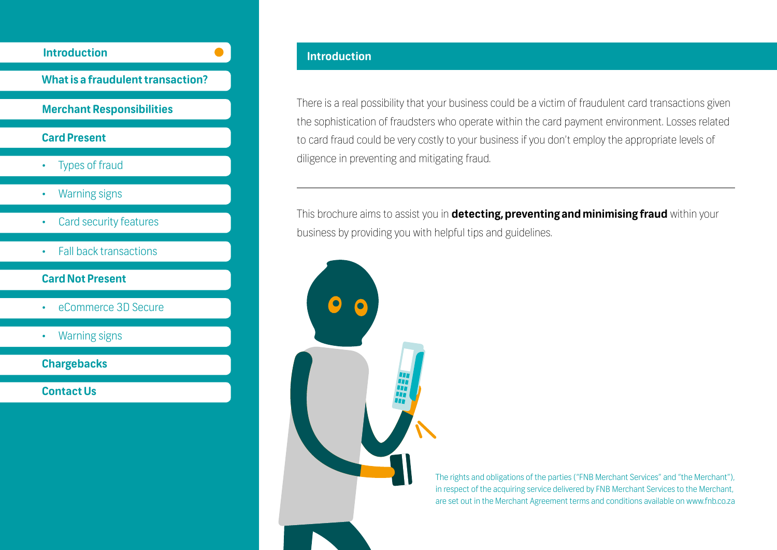

There is a real possibility that your business could be a victim of fraudulent card transactions given the sophistication of fraudsters who operate within the card payment environment. Losses related to card fraud could be very costly to your business if you don't employ the appropriate levels of diligence in preventing and mitigating fraud.

This brochure aims to assist you in **detecting, preventing and minimising fraud** within your business by providing you with helpful tips and guidelines.

> The rights and obligations of the parties ("FNB Merchant Services" and "the Merchant"), in respect of the acquiring service delivered by FNB Merchant Services to the Merchant, are set out in the Merchant Agreement terms and conditions available on www.fnb.co.za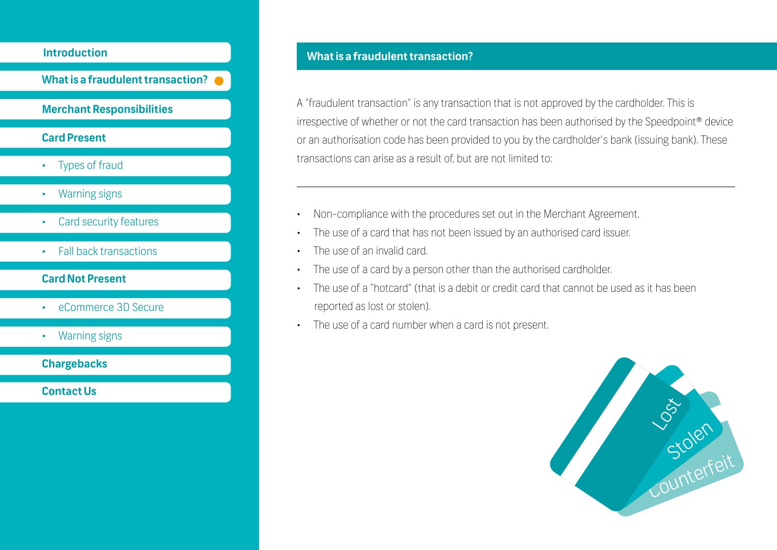**What is a fraudulent transaction?**

#### **Merchant Responsibilities**

#### **Card Present**

- Types of fraud
- Warning signs
- Card security features
- Fall back transactions

#### **Card Not Present**

- eCommerce 3D Secure
- Warning signs

**Chargebacks**

**Contact Us**

#### **What is a fraudulent transaction?**

A "fraudulent transaction" is any transaction that is not approved by the cardholder. This is irrespective of whether or not the card transaction has been authorised by the Speedpoint® device or an authorisation code has been provided to you by the cardholder's bank (issuing bank). These transactions can arise as a result of, but are not limited to:

- Non-compliance with the procedures set out in the Merchant Agreement.
- The use of a card that has not been issued by an authorised card issuer.
- The use of an invalid card.
- The use of a card by a person other than the authorised cardholder.
- The use of a "hotcard" (that is a debit or credit card that cannot be used as it has been reported as lost or stolen).
- The use of a card number when a card is not present.

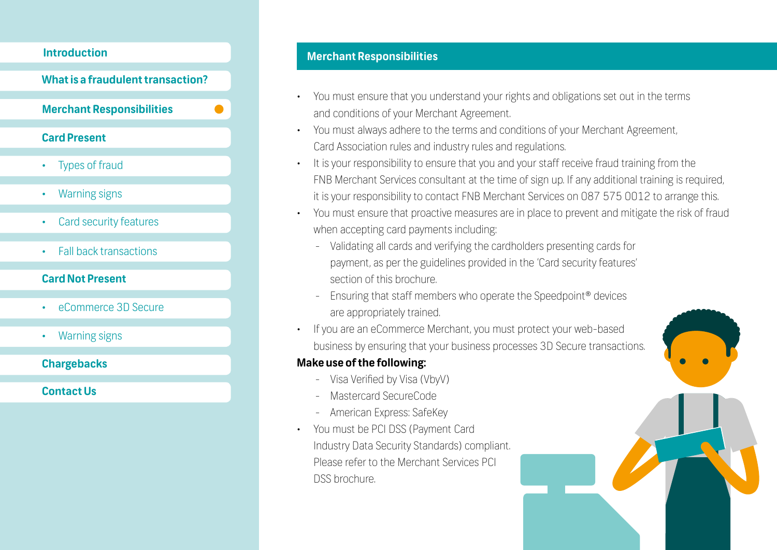#### **What is a fraudulent transaction?**

**Merchant Responsibilities**

#### **Card Present**

- Types of fraud
- Warning signs
- Card security features
- Fall back transactions

#### **Card Not Present**

- eCommerce 3D Secure
- Warning signs

#### **Chargebacks**

**Contact Us**

### **Merchant Responsibilities Introduction**

- You must ensure that you understand your rights and obligations set out in the terms and conditions of your Merchant Agreement.
- You must always adhere to the terms and conditions of your Merchant Agreement, Card Association rules and industry rules and regulations.
- It is your responsibility to ensure that you and your staff receive fraud training from the FNB Merchant Services consultant at the time of sign up. If any additional training is required, it is your responsibility to contact FNB Merchant Services on 087 575 0012 to arrange this.
- You must ensure that proactive measures are in place to prevent and mitigate the risk of fraud when accepting card payments including:
	- Validating all cards and verifying the cardholders presenting cards for payment, as per the guidelines provided in the 'Card security features' section of this brochure.
	- Ensuring that staff members who operate the Speedpoint® devices are appropriately trained.
- If you are an eCommerce Merchant, you must protect your web-based business by ensuring that your business processes 3D Secure transactions.

#### **Make use of the following:**

- Visa Verified by Visa (VbyV)
- Mastercard SecureCode
- American Express: SafeKey
- You must be PCI DSS (Payment Card Industry Data Security Standards) compliant. Please refer to the Merchant Services PCI DSS brochure.

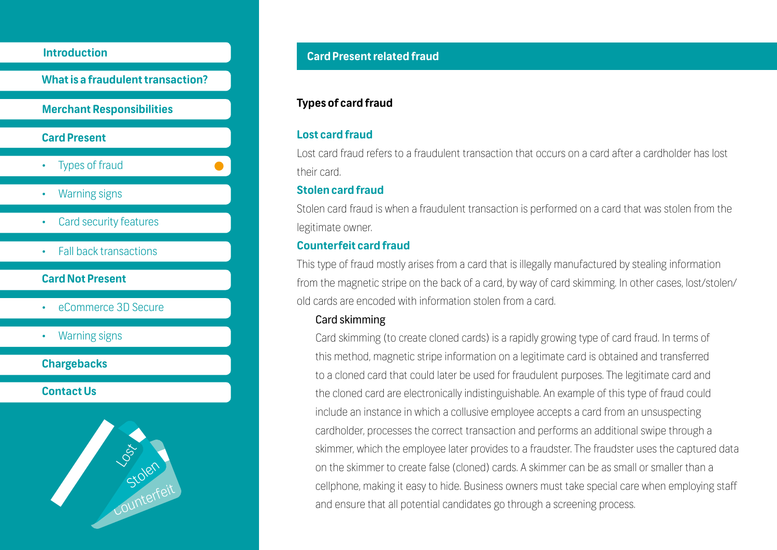**What is a fraudulent transaction? Merchant Responsibilities Card Present Types of fraud** • Warning signs • Card security features **Card Not Present** • eCommerce 3D Secure • Warning signs • Fall back transactions

### **Contact Us**

**Chargebacks**



### **Card Present related fraud Introduction**

#### **Types of card fraud**

#### **Lost card fraud**

Lost card fraud refers to a fraudulent transaction that occurs on a card after a cardholder has lost their card.

#### **Stolen card fraud**

Stolen card fraud is when a fraudulent transaction is performed on a card that was stolen from the legitimate owner.

#### **Counterfeit card fraud**

This type of fraud mostly arises from a card that is illegally manufactured by stealing information from the magnetic stripe on the back of a card, by way of card skimming. In other cases, lost/stolen/ old cards are encoded with information stolen from a card.

#### Card skimming

Card skimming (to create cloned cards) is a rapidly growing type of card fraud. In terms of this method, magnetic stripe information on a legitimate card is obtained and transferred to a cloned card that could later be used for fraudulent purposes. The legitimate card and the cloned card are electronically indistinguishable. An example of this type of fraud could include an instance in which a collusive employee accepts a card from an unsuspecting cardholder, processes the correct transaction and performs an additional swipe through a skimmer, which the employee later provides to a fraudster. The fraudster uses the captured data on the skimmer to create false (cloned) cards. A skimmer can be as small or smaller than a cellphone, making it easy to hide. Business owners must take special care when employing staff and ensure that all potential candidates go through a screening process.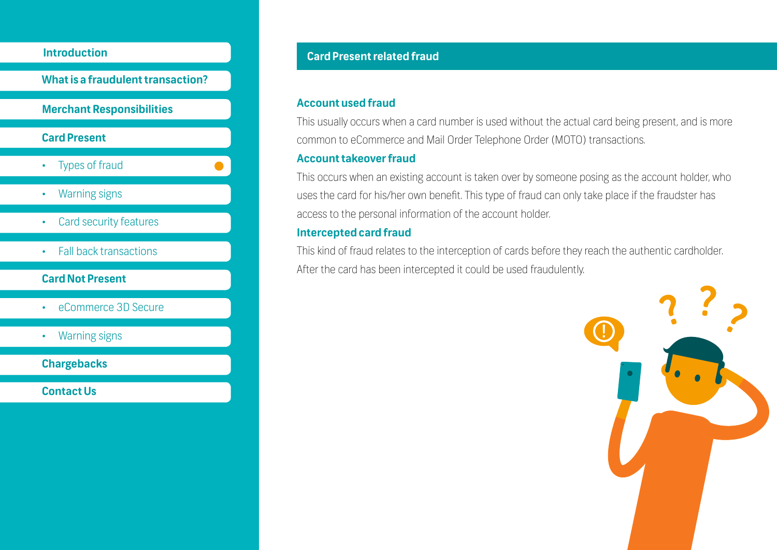

#### **Card Not Present**

- eCommerce 3D Secure
- Warning signs

**Chargebacks**

**Contact Us**

#### **Card Present related fraud**

#### **Account used fraud**

This usually occurs when a card number is used without the actual card being present, and is more common to eCommerce and Mail Order Telephone Order (MOTO) transactions.

#### **Account takeover fraud**

This occurs when an existing account is taken over by someone posing as the account holder, who uses the card for his/her own benefit. This type of fraud can only take place if the fraudster has access to the personal information of the account holder.

#### **Intercepted card fraud**

This kind of fraud relates to the interception of cards before they reach the authentic cardholder. After the card has been intercepted it could be used fraudulently.

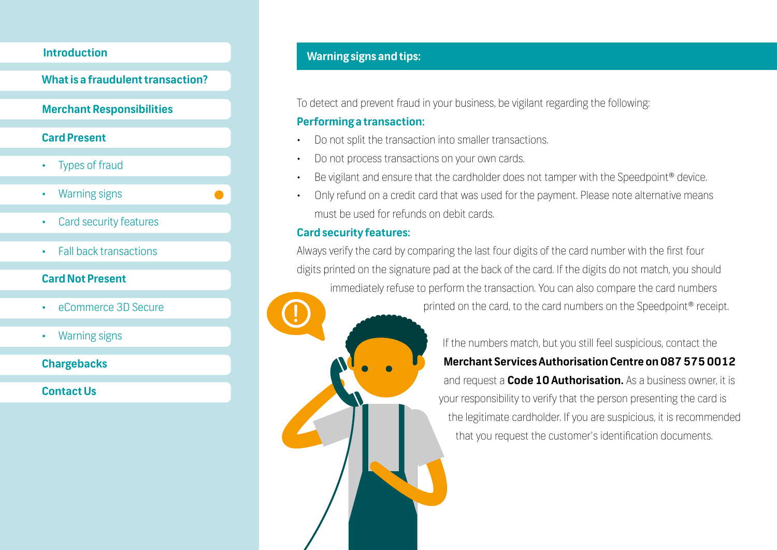**What is a fraudulent transaction?**

#### **Merchant Responsibilities**

#### **Card Present**

- Types of fraud
- Warning signs
- Card security features
- Fall back transactions

#### **Card Not Present**

- eCommerce 3D Secure
- Warning signs

**Chargebacks**

**Contact Us**

#### **Warning signs and tips:**

To detect and prevent fraud in your business, be vigilant regarding the following:

#### **Performing a transaction:**

- Do not split the transaction into smaller transactions.
- Do not process transactions on your own cards.
- Be vigilant and ensure that the cardholder does not tamper with the Speedpoint® device.
- Only refund on a credit card that was used for the payment. Please note alternative means must be used for refunds on debit cards.

#### **Card security features:**

Always verify the card by comparing the last four digits of the card number with the first four digits printed on the signature pad at the back of the card. If the digits do not match, you should immediately refuse to perform the transaction. You can also compare the card numbers printed on the card, to the card numbers on the Speedpoint® receipt. **!**

> If the numbers match, but you still feel suspicious, contact the **Merchant Services Authorisation Centre on 087 575 0012** and request a **Code 10 Authorisation.** As a business owner, it is your responsibility to verify that the person presenting the card is the legitimate cardholder. If you are suspicious, it is recommended that you request the customer's identification documents.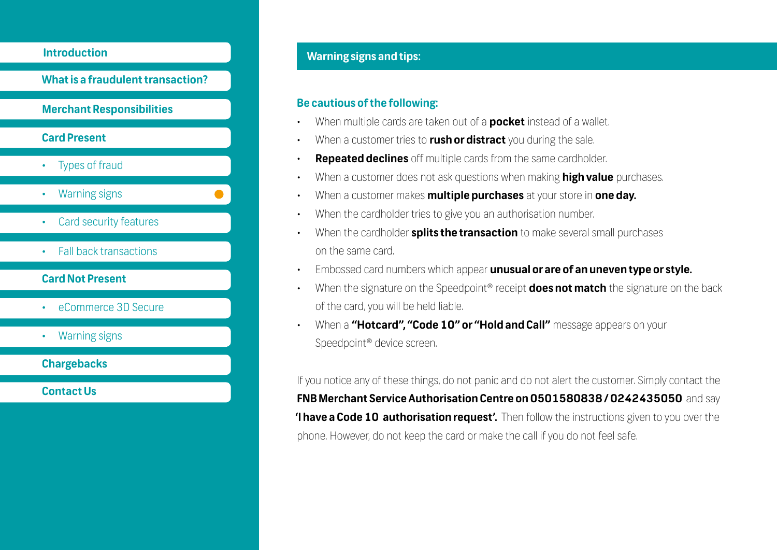**What is a fraudulent transaction? Merchant Responsibilities Card Present** • Types of fraud • Warning signs **Card security features Card Not Present** • eCommerce 3D Secure • Warning signs **Chargebacks Contact Us** • Fall back transactions

### **Warning signs and tips: Introduction**

#### **Be cautious of the following:**

- When multiple cards are taken out of a **pocket** instead of a wallet.
- When a customer tries to **rush or distract** you during the sale.
- **Repeated declines** off multiple cards from the same cardholder.
- When a customer does not ask questions when making **high value** purchases.
- When a customer makes **multiple purchases** at your store in **one day.**
- When the cardholder tries to give you an authorisation number.
- When the cardholder **splits the transaction** to make several small purchases on the same card.
- Embossed card numbers which appear **unusual or are of an uneven type or style.**
- When the signature on the Speedpoint® receipt **does not match** the signature on the back of the card, you will be held liable.
- When a **"Hotcard", "Code 10" or "Hold and Call"** message appears on your Speedpoint® device screen.

If you notice any of these things, do not panic and do not alert the customer. Simply contact the **FNB Merchant Service Authorisation Centre on 0501580838 / 0242435050** and say **'I have a Code 10 authorisation request'.** Then follow the instructions given to you over the phone. However, do not keep the card or make the call if you do not feel safe.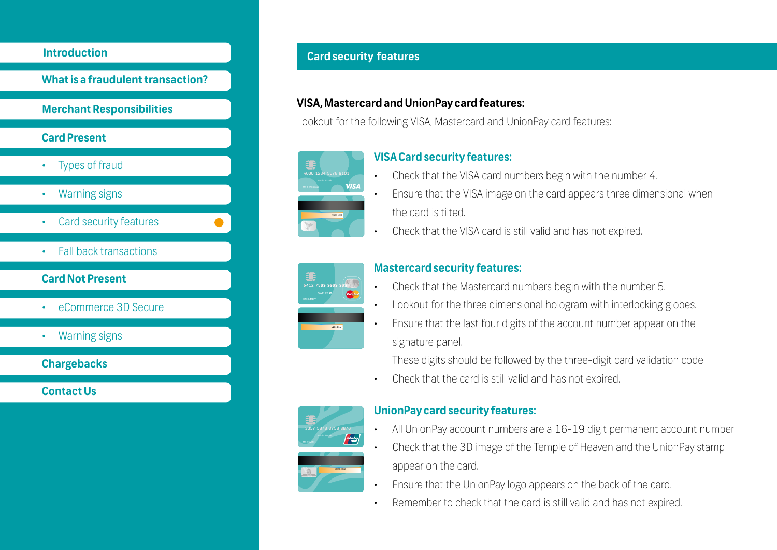

#### **Card security features**

#### **VISA, Mastercard and UnionPay card features:**

Lookout for the following VISA, Mastercard and UnionPay card features:



#### **VISA Card security features:**

- Check that the VISA card numbers begin with the number 4.
- Ensure that the VISA image on the card appears three dimensional when the card is tilted.
- Check that the VISA card is still valid and has not expired.



#### **Mastercard security features:**

- Check that the Mastercard numbers begin with the number 5.
- Lookout for the three dimensional hologram with interlocking globes.
- Ensure that the last four digits of the account number appear on the signature panel.

These digits should be followed by the three-digit card validation code.

• Check that the card is still valid and has not expired.



#### **UnionPay card security features:**

- All UnionPay account numbers are a 16-19 digit permanent account number.
- Check that the 3D image of the Temple of Heaven and the UnionPay stamp appear on the card.
- Ensure that the UnionPay logo appears on the back of the card.
- Remember to check that the card is still valid and has not expired.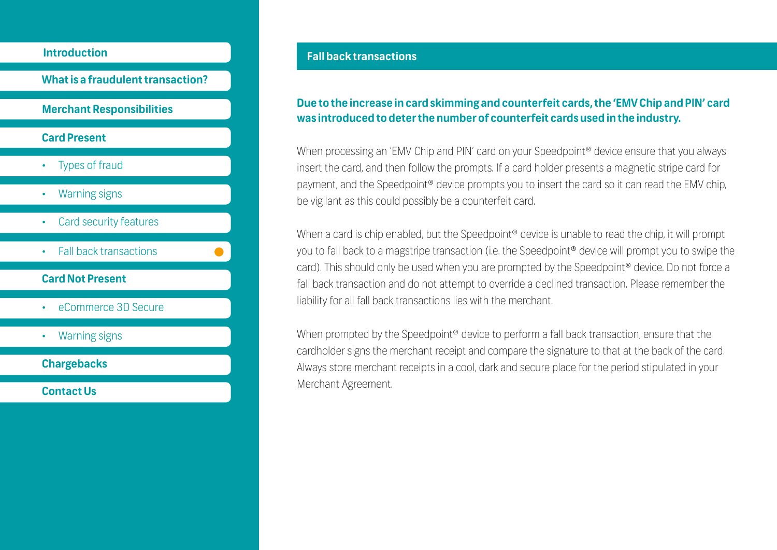

#### **Fall back transactions**

#### **Due to the increase in card skimming and counterfeit cards, the 'EMV Chip and PlN' card was introduced to deter the number of counterfeit cards used in the industry.**

When processing an 'EMV Chip and PIN' card on your Speedpoint<sup>®</sup> device ensure that you always insert the card, and then follow the prompts. If a card holder presents a magnetic stripe card for payment, and the Speedpoint® device prompts you to insert the card so it can read the EMV chip, be vigilant as this could possibly be a counterfeit card.

When a card is chip enabled, but the Speedpoint<sup>®</sup> device is unable to read the chip, it will prompt you to fall back to a magstripe transaction (i.e. the Speedpoint® device will prompt you to swipe the card). This should only be used when you are prompted by the Speedpoint® device. Do not force a fall back transaction and do not attempt to override a declined transaction. Please remember the liability for all fall back transactions lies with the merchant.

When prompted by the Speedpoint<sup>®</sup> device to perform a fall back transaction, ensure that the cardholder signs the merchant receipt and compare the signature to that at the back of the card. Always store merchant receipts in a cool, dark and secure place for the period stipulated in your Merchant Agreement.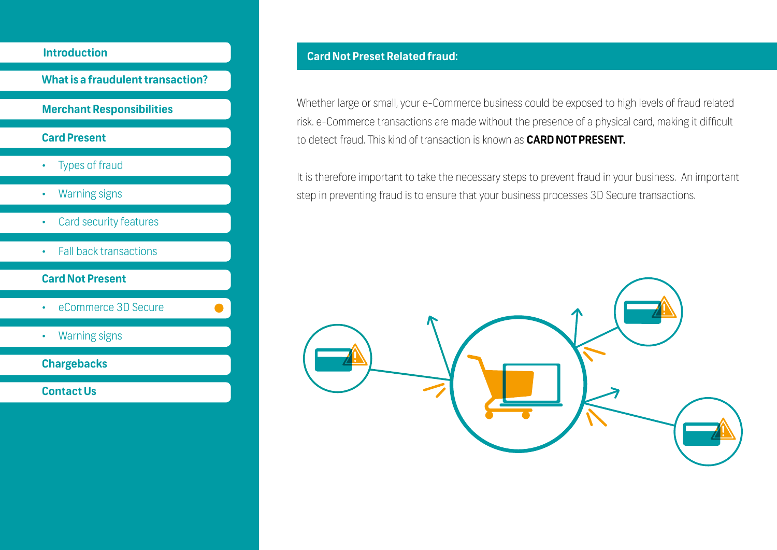

Whether large or small, your e-Commerce business could be exposed to high levels of fraud related risk. e-Commerce transactions are made without the presence of a physical card, making it difficult to detect fraud. This kind of transaction is known as **CARD NOT PRESENT.**

It is therefore important to take the necessary steps to prevent fraud in your business. An important step in preventing fraud is to ensure that your business processes 3D Secure transactions.

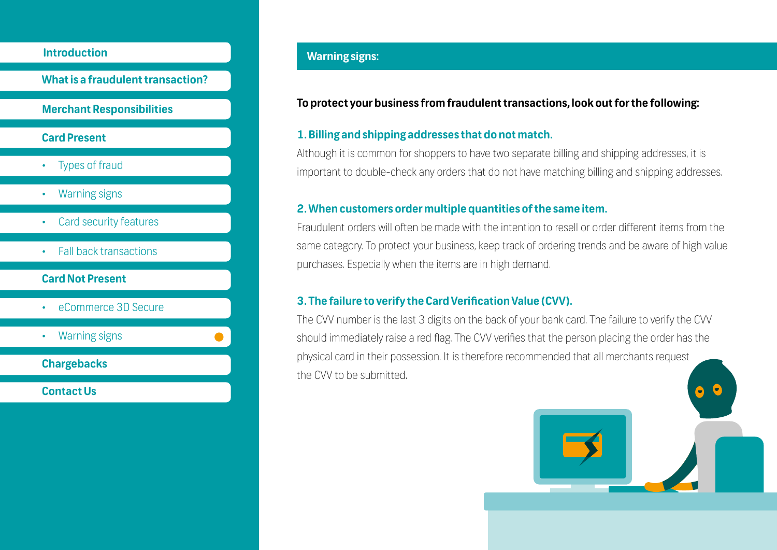**What is a fraudulent transaction?**

#### **Merchant Responsibilities**

#### **Card Present**

- Types of fraud
- Warning signs
- Card security features
- Fall back transactions
- **Card Not Present**
- eCommerce 3D Secure
- Warning signs
- **Chargebacks**

**Contact Us**

### **Warning signs: Introduction**

#### **To protect your business from fraudulent transactions, look out for the following:**

#### **1. Billing and shipping addresses that do not match.**

Although it is common for shoppers to have two separate billing and shipping addresses, it is important to double-check any orders that do not have matching billing and shipping addresses.

#### **2. When customers order multiple quantities of the same item.**

Fraudulent orders will often be made with the intention to resell or order different items from the same category. To protect your business, keep track of ordering trends and be aware of high value purchases. Especially when the items are in high demand.

#### **3. The failure to verify the Card Verification Value (CVV).**

The CVV number is the last 3 digits on the back of your bank card. The failure to verify the CVV should immediately raise a red flag. The CVV verifies that the person placing the order has the physical card in their possession. It is therefore recommended that all merchants request the CVV to be submitted.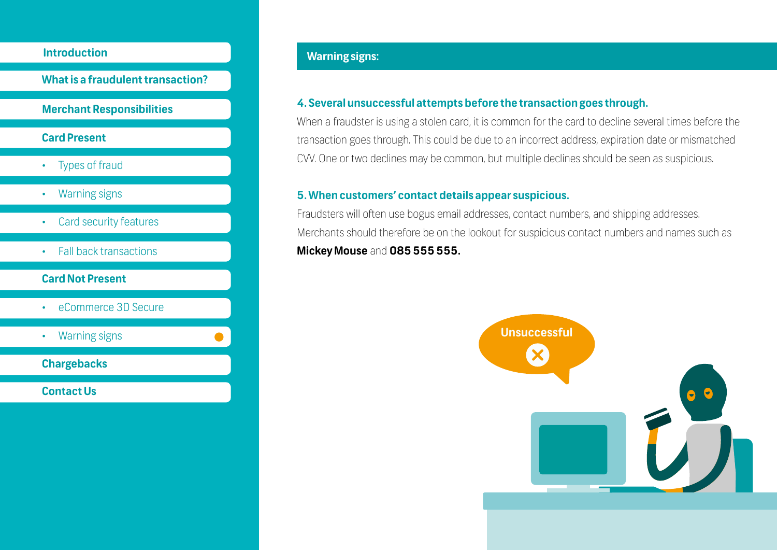**What is a fraudulent transaction?**

#### **Merchant Responsibilities**

#### **Card Present**

- Types of fraud
- Warning signs
- Card security features
- Fall back transactions

#### **Card Not Present**

- eCommerce 3D Secure
- Warning signs

**Chargebacks**

**Contact Us**

#### **Warning signs:**

#### **4. Several unsuccessful attempts before the transaction goes through.**

When a fraudster is using a stolen card, it is common for the card to decline several times before the transaction goes through. This could be due to an incorrect address, expiration date or mismatched CVV. One or two declines may be common, but multiple declines should be seen as suspicious.

#### **5. When customers' contact details appear suspicious.**

Fraudsters will often use bogus email addresses, contact numbers, and shipping addresses. Merchants should therefore be on the lookout for suspicious contact numbers and names such as **Mickey Mouse** and **085 555 555.**

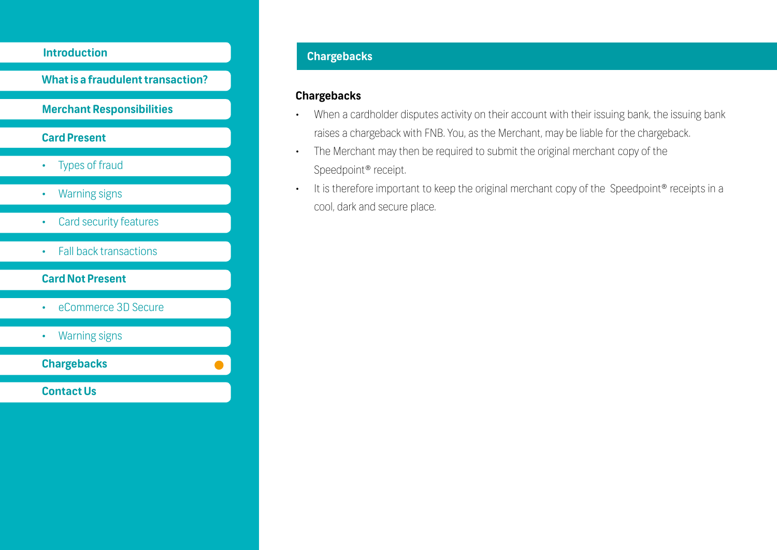**What is a fraudulent transaction?**

#### **Merchant Responsibilities**

#### **Card Present**

- Types of fraud
- Warning signs
- Card security features
- Fall back transactions

#### **Card Not Present**

- eCommerce 3D Secure
- Warning signs

**Chargebacks**

**Contact Us**

### **Introduction**

#### **Chargebacks**

- When a cardholder disputes activity on their account with their issuing bank, the issuing bank raises a chargeback with FNB. You, as the Merchant, may be liable for the chargeback.
- The Merchant may then be required to submit the original merchant copy of the Speedpoint® receipt.
- It is therefore important to keep the original merchant copy of the Speedpoint<sup>®</sup> receipts in a cool, dark and secure place.